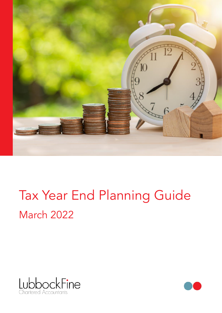

# Tax Year End Planning Guide March 2022



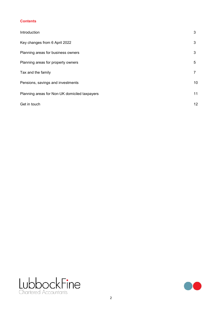### **Contents**

| Introduction                                  | 3  |
|-----------------------------------------------|----|
| Key changes from 6 April 2022                 | 3  |
| Planning areas for business owners            | 3  |
| Planning areas for property owners            | 5  |
| Tax and the family                            |    |
| Pensions, savings and investments             | 10 |
| Planning areas for Non-UK domiciled taxpayers | 11 |
| Get in touch                                  | 12 |



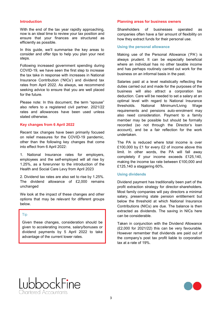### <span id="page-2-0"></span>**Introduction**

With the end of the tax year rapidly approaching, now is an ideal time to review your tax position and ensure that your finances are structured as efficiently as possible.

In this guide, we'll summarise the key areas to consider and offer tips to help you plan your next steps.

Following increased government spending during COVID-19, we have seen the first step to increase the tax take in response with increases in National Insurance Contribution ('NICs') and dividend tax rates from April 2022. As always, we recommend seeking advice to ensure that you are well placed for the future.

Please note: In this document, the term "spouse" also refers to a registered civil partner. 2021/22 rates and allowances have been used unless stated otherwise.

### **Key changes from 6 April 2022**

Recent tax changes have been primarily focused on relief measures for the COVID-19 pandemic, other than the following key changes that come into effect from 6 April 2022:

1. National Insurance rates for employers, employees and the self-employed will all rise by 1.25%, as a forerunner to the introduction of the Health and Social Care Levy from April 2023

2. Dividend tax rates are also set to rise by 1.25%. The dividend allowance of £2,000 remains unchanged

We look at the impact of these changes and other options that may be relevant for different groups below.

### Tip

Given these changes, consideration should be given to accelerating income, salary/bonuses or dividend payments by 5 April 2022 to take advantage of the current lower rates.

### **Planning areas for business owners**

Shareholders of businesses operated as companies often have a fair amount of flexibility on how they extract funds for their personal use.

### **Using the personal allowance**

Making use of the Personal Allowance ('PA') is always prudent. It can be especially beneficial where an individual has no other taxable income and has perhaps routinely carried out work for the business on an informal basis in the past.

Salaries paid at a level realistically reflecting the duties carried out and made for the purposes of the business will also attract a corporation tax deduction. Care will be needed to set a salary at an optimal level with regard to National Insurance thresholds. National Minimum/Living Wage requirements and pensions auto-enrolment may also need consideration. Payment to a family member may be possible but should be formally recorded (so not through the Director's loan account), and be a fair reflection for the work undertaken.

The PA is reduced where total income is over £100,000 by £1 for every £2 of income above this limit. In other words, the PA will fall away completely if your income exceeds £125,140, making the income tax rate between £100,000 and £125,140 a staggering 60%.

### **Using dividends**

Dividend payment has traditionally been part of the profit extraction strategy for director-shareholders. Most family companies will pay directors a minimal salary, preserving state pension entitlement but below the threshold at which National Insurance Contributions (NICs) are due. The balance is then extracted as dividends. The saving in NICs here can be considerable.

Taken in conjunction with the Dividend Allowance (£2,000 for 2021/22) this can be very favourable. However remember that dividends are paid out of the company's post tax profit liable to corporation tax at a rate of 19%.



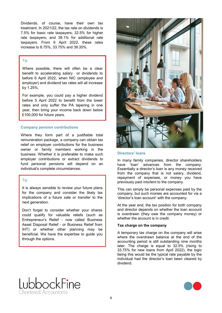Dividends, of course, have their own tax treatment. In 2021/22, the tax rate on dividends is 7.5% for basic rate taxpayers; 32.5% for higher rate taxpayers; and 38.1% for additional rate taxpayers. From 6 April 2022, these rates increase to 8.75%, 33.75% and 39.35%.

### Tip

Where possible, there will often be a clear benefit to accelerating salary or dividends to before 6 April 2022, when NIC (employee and employer) and dividend tax rates will all increase by 1.25%.

For example, you could pay a higher dividend before 5 April 2022 to benefit from the lower rates and only suffer the PA tapering in one year, then bring your income back down below £100,000 for future years.

### **Company pension contributions**

Where they form part of a justifiable total remuneration package, a company can obtain tax relief on employer contributions for the business owner or family members working in the business. Whether it is preferable to make such employer contributions or extract dividends to fund personal pensions will depend on an individual's complete circumstances.

### Tip

It is always sensible to review your future plans for the company and consider the likely tax implications of a future sale or transfer to the next generation.

Don't forget to consider whether your shares could qualify for valuable reliefs (such as Entrepreneur's Relief - now called Business Asset Disposal Relief - or Business Relief from IHT) or whether other planning may be beneficial. We have the expertise to guide you through the options.



### **Directors' loans**

In many family companies, director shareholders have 'loan' advances from the company. Essentially a director's loan is any money received from the company that is not salary, dividend, repayment of expenses, or money you have previously paid into/lent to the company.

This can simply be personal expenses paid by the company, but such monies are accounted for via a 'director's loan account' with the company.

At the year end, the tax position for both company and director depends on whether the loan account is overdrawn (they owe the company money) or whether the account is in credit.

### **Tax charge on the company**

A temporary tax charge on the company will arise where the overdrawn balance at the end of the accounting period is still outstanding nine months later. The charge is equal to 32.5% (rising to 33.75% for new loans from April 2022), the logic being this would be the typical rate payable by the individual had the director's loan been cleared by dividend.



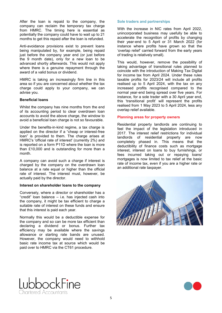<span id="page-4-0"></span>After the loan is repaid to the company, the company can reclaim the temporary tax charge from HMRC. The timing here is essential as potentially the company could have to wait up to 21 months to get this repaid after the loan is refunded.

Anti-avoidance provisions exist to prevent loans being manipulated by, for example, being repaid just before the company year end (or just before the 9 month date), only for a new loan to be advanced shortly afterwards. This would not apply where there is a genuine repayment through the award of a valid bonus or dividend.

HMRC is taking an increasingly firm line in this area so if you are concerned about whether the tax charge could apply to your company, we can advise you.

### **Beneficial loans**

Whilst the company has nine months from the end of its accounting period to clear overdrawn loan accounts to avoid the above charge, the window to avoid a beneficial loan charge is not so favourable.

Under the benefits-in-kind regime, a tax charge is applied on the director if a "cheap or interest-free loan" is provided to them. The charge arises at HMRC's 'official rate of interest' (currently 2%) and is reported on a form P11D where the loan is more than £10,000 and is outstanding for more than a month.

A company can avoid such a charge if interest is charged by the company on the overdrawn loan balance at a rate equal or higher than the official rate of interest. The interest must, however, be actually paid by the director.

### **Interest on shareholder loans to the company**

Conversely, where a director or shareholder has a "credit" loan balance – i.e. has injected cash into the company, it might be tax efficient to charge a suitable rate of interest on these funds and ensure that this interest is paid each year.

Normally this would be a deductible expense for the company and so can be more tax efficient than declaring a dividend or bonus. Further tax efficiency may be available where the savings allowance or starting rate bands are unused. However, the company would need to withhold basic rate income tax at source which would be paid over to HMRC via the CT61 procedure.

### **Sole traders and partnerships**

With the increase in NIC rates from April 2022, unincorporated business may usefully be able to accelerate the recognition of profits by changing their year-end to 5 April or 31 March 2022 (for instance where profits have grown so that the 'overlap relief' carried forward from the early years of trading is relatively small).

This would, however, remove the possibility of taking advantage of transitional rules planned to coincide with the introduction of Making Tax Digital for income tax from April 2024. Under these rules taxable profits for 2023/24 will include all profits realised up to 5 April 2024, with the tax on any increased profits recognised compared to the normal year-end being spread over five years. For instance, for a sole trader with a 30 April year end, this 'transitional profit' will represent the profits realised from 1 May 2023 to 5 April 2024, less any overlap relief available.

### **Planning areas for property owners**

Residential property landlords are continuing to feel the impact of the legislation introduced in 2017. The interest relief restrictions for individual landlords of residential property are now completely phased in. This means that the deductibility of finance costs such as mortgage interest, interest on loans to buy furnishings, or fees incurred taking out or repaying loans/ mortgages is now limited to tax relief at the basic rate of income tax, even if you are a higher rate or an additional rate taxpayer.





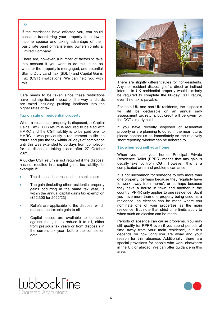### Tip

If the restrictions have affected you, you could consider transferring your property to a lower income spouse and taking advantage of their basic rate band or transferring ownership into a Limited Company.

There are, however, a number of factors to take into account if you want to do this, such as whether the property is mortgaged, and potential Stamp Duty Land Tax (SDLT) and Capital Gains Tax (CGT) implications. We can help you with

Care needs to be taken since these restrictions have had significant impact on the way landlords are taxed including pushing landlords into the higher rates of tax.

### **Tax on sale of residential property**

When a residential property is disposed, a Capital Gains Tax (CGT) return is required to be filed with HMRC and the CGT liability is to be paid over to HMRC. It was previously a requirement to file the return and pay the tax within 30 days of completion until this was extended to 60 days from completion for all disposals taking place after 27 October 2021.

A 60-day CGT return is not required if the disposal has not resulted in a capital gains tax liability, for example if:

- The disposal has resulted in a capital loss
- The gain (including other residential property gains occurring in the same tax year) is within the annual capital gains tax exemption (£12,300 for 2022/23)
- Reliefs are applicable to the disposal which reduces the taxable gain to nil
- Capital losses are available to be used against the gain to reduce it to nil, either from previous tax years or from disposals in the current tax year, before the completion date



this. There are slightly different rules for non-residents. Any non-resident disposing of a direct or indirect interest in UK residential property would similarly be required to complete the 60-day CGT return, even if no tax is payable.

> For both UK and non-UK residents, the disposals will still be declarable on an annual selfassessment tax return, but credit will be given for the CGT already paid.

> If you have recently disposed of residential property or are planning to do so in the near future, please contact us as immediately so the relatively short reporting window can be adhered to.

### **Tax when you sell your home**

When you sell your home, Principal Private Residence Relief (PPRR) means that any gain is usually exempt from CGT. However, this is a complicated area and problems can arise.

It is not uncommon for someone to own more than one property, perhaps because they regularly have to work away from 'home', or perhaps because they have a house in town and another in the country. PPRR only applies to one residence. So, if you have more than one property being used as a residence, an election can be made where you nominate one of your properties as the main residence. But note that strict time limits apply to when such an election can be made.

Periods of absence can cause problems. You may still qualify for PPRR even if you spend periods of time away from your main residence, but this depends on how long you are away and your reason for this absence. Additionally, there are special provisions for people who work elsewhere in the UK or abroad. We can offer guidance in this area.



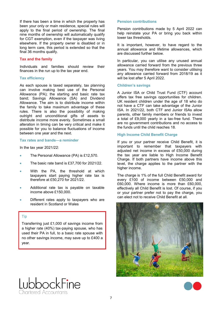<span id="page-6-0"></span>If there has been a time in which the property has been your only or main residence, special rules will apply to the final period of ownership. The final nine months of ownership will automatically qualify for CGT exemption, even if the taxpayer was living elsewhere. If the property owner is disabled or in long term care, this period is extended so that the final 36 months qualify.

### **Tax and the family**

Individuals and families should review their finances in the run up to the tax year end.

### **Tax efficiency**

As each spouse is taxed separately, tax planning can involve making best use of the Personal Allowance (PA); the starting and basic rate tax band; Savings Allowance (SA) and Dividend Allowance. The aim is to distribute income within the family to take maximum advantage of these rules. There is also the possibility of making outright and unconditional gifts of assets to distribute income more evenly. Sometimes a small alteration in timing can be very critical and make it possible for you to balance fluctuations of income between one year and the next.

### **Tax rates and bands—a reminder**

In the tax year 2021/22:

- The Personal Allowance (PA) is £12,570.
- The basic rate band is £37,700 for 2021/22.
- With the PA, the threshold at which taxpayers start paying higher rate tax is therefore at £50,270 for 2021/22.
- Additional rate tax is payable on taxable income above £150,000.
- Different rates apply to taxpayers who are resident in Scotland or Wales

### Tip

Transferring just £1,000 of savings income from a higher rate (40%) tax-paying spouse, who has used their PA in full, to a basic rate spouse with no other savings income, may save up to £400 a year.

## pbockFine nartered Accountants

### **Pension contributions**

Pension contributions made by 5 April 2022 can help reinstate your PA or bring you back within lower tax thresholds.

It is important, however, to have regard to the annual allowance and lifetime allowances, which are discussed further below.

In particular, you can utilise any unused annual allowance carried forward from the previous three years. You may therefore want to consider utilising any allowance carried forward from 2018/19 as it will be lost after 5 April 2022.

### **Children's savings**

A Junior ISA or Child Trust Fund (CTF) account offers tax free savings opportunities for children. UK resident children under the age of 18 who do not have a CTF can take advantage of the Junior ISA. In 2021/22, both CTF and Junior ISAs allow parents, other family members or friends to invest a total of £9,000 yearly in a tax-free fund. There are no government contributions and no access to the funds until the child reaches 18.

### **High Income Child Benefit Charge**

If you or your partner receive Child Benefit, it is important to remember that taxpayers with adjusted net income in excess of £50,000 during the tax year are liable to High Income Benefit Charge. If both partners have income above this level, the charge applies to the partner with the higher income.

The charge is 1% of the full Child Benefit award for every £100 of income between £50,000 and £60,000. Where income is more than £60,000, effectively all Child Benefit is lost. Of course, if you or your partner prefer not to pay the charge, you can elect not to receive Child Benefit at all.



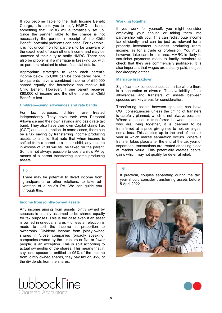If you become liable to the High Income Benefit Charge, it is up to you to notify HMRC - it is not something that HMRC will automatically set up. Since the partner liable to the charge is not necessarily the partner in receipt of the Child Benefit, potential problems can arise. For example, it is not uncommon for partners to be unaware of the exact level of each other's income and may be unaware of their duty to notify HMRC. There can also be problems if a marriage is breaking up, with ex-partners reluctant to share financial details.

Appropriate strategies to keep each parent's income below £50,000 can be considered here. If two parents have a combined income of £90,000 shared equally, the household can receive full Child Benefit. However, if one parent receives £60,000 of income and the other none, all Child Benefit is lost.

### **Children—using allowances and rate bands**

For tax purposes, children are treated independently. They have their own Personal Allowance and their own savings and basic rate tax band. They also have their own Capital Gains Tax (CGT) annual exemption. In some cases, there can be a tax saving by transferring income producing assets to a child. But note that when income is shifted from a parent to a minor child, any income in excess of £100 will still be taxed on the parent. So, it is not always possible to use a child's PA by means of a parent transferring income producing assets.

### Tip

There may be potential to divert income from grandparents or other relations, to take advantage of a child's PA. We can guide you through this.

### **Income from jointly-owned assets**

Any income arising from assets jointly owned by spouses is usually assumed to be shared equally for tax purposes. This is the case even if an asset is owned in unequal shares – unless an election is made to split the income in proportion to ownership. Dividend income from jointly-owned shares in 'close' companies (broadly speaking, companies owned by the directors or five or fewer people) is an exception. This is split according to actual ownership of the shares. This means that if, say, one spouse is entitled to 95% of the income from jointly owned shares, they pay tax on 95% of the dividends from the shares.

# If you work for yourself, you might consider

employing your spouse or taking them into partnership with you. This can redistribute income tax efficiently, and can be just as relevant for a property investment business producing rental income, as for a trade or profession. You must, however, take care in this area. HMRC is likely to scrutinise payments made to family members to check that they are commercially justifiable. It is also important that wages are actually paid, not just bookkeeping entries.

### **Marriage breakdown**

**Working together** 

Significant tax consequences can arise where there is a separation or divorce. The availability of tax allowances and transfers of assets between spouses are key areas for consideration.

Transferring assets between spouses can have CGT consequences unless the timing of transfers is carefully planned, which is not always possible. Where an asset is transferred between spouses who are living together, it is deemed to be transferred at a price giving rise to neither a gain nor a loss. This applies up to the end of the tax year in which marital separation occurs. Where a transfer takes place after the end of the tax year of separation, transactions are treated as taking place at market value. This potentially creates capital gains which may not qualify for deferral relief.

### Tip

If practical, couples separating during the tax year should consider transferring assets before 5 April 2022.





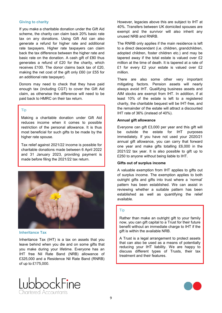### **Giving to charity**

If you make a charitable donation under the Gift Aid scheme, the charity can claim back 20% basic rate tax on any donations. Using Gift Aid can also generate a refund for higher rate and additional rate taxpayers. Higher rate taxpayers can claim back the tax difference between the higher rate and basic rate on the donation. A cash gift of £80 thus generates a refund of £20 for the charity, which receives £100. The donor claims back tax of £20, making the net cost of the gift only £60 (or £55 for an additional rate taxpayer).

Donors may need to check that they have paid enough tax (including CGT) to cover the Gift Aid claim, as otherwise the difference will need to be paid back to HMRC on their tax return.

### Tip

Making a charitable donation under Gift Aid reduces income when it comes to possible restriction of the personal allowance. It is thus most beneficial for such gifts to be made by the higher rate spouse.

Tax relief against 2021/22 income is possible for charitable donations made between 6 April 2022 and 31 January 2023, providing payment is made before filing the 2021/22 tax return.



### **Inheritance Tax**

Inheritance Tax (IHT) is a tax on assets that you leave behind when you die and on some gifts that you make during your lifetime. Everyone has an IHT free Nil Rate Band (NRB) allowance of £325,000 and a Residence Nil Rate Band (RNRB) of up to £175,000.



However, legacies above this are subject to IHT at 40%. Transfers between UK domiciled spouses are exempt and the survivor will also inherit any unused NRB and RNRB.

The RNRB only applies if the main residence is left to a direct descendant (i.e. children, grandchildren, adopted children, foster children etc.) and may be tapered away if the total estate is valued over £2 million at the time of death. It is tapered at a rate of £1 for every £2 your estate is valued over £2 million.

There are also some other very important mitigating factors. Pension assets will nearly always avoid IHT. Qualifying business assets and AIM stocks are exempt from IHT. In addition, if at least 10% of the estate is left to a registered charity, the charitable bequest will be IHT-free, and the remainder of the estate will attract a discounted IHT rate of 36% (instead of 40%).

### **Annual gift allowance**

Everyone can gift £3,000 per year and this gift will be outside the estate for IHT purposes immediately. If you have not used your 2020/21 annual gift allowance, you can carry that forward one year and make gifts totalling £6,000 in the 2021/22 tax year. It is also possible to gift up to £250 to anyone without being liable to IHT.

### **Gifts out of surplus income**

A valuable exemption from IHT applies to gifts out of surplus income. The exemption applies to both outright gifts and gifts into trust where a 'normal' pattern has been established. We can assist in reviewing whether a suitable pattern has been established as well as quantifying the relief available.

### Tip

Rather than make an outright gift to your family now, you can gift capital to a Trust for their future benefit without an immediate charge to IHT if the gift is within the available NRB.

A Trust is a legal arrangement to protect assets that can also be used as a means of potentially reducing your IHT liability. We are happy to discuss different types of Trusts, their tax treatment and their features.



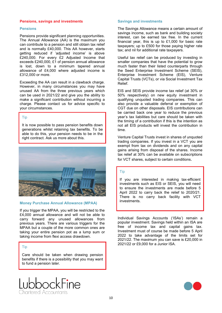### <span id="page-9-0"></span>**Pensions, savings and investments**

### **Pensions**

Pensions provide significant planning opportunities. The Annual Allowance (AA) is the maximum you can contribute to a pension and still obtain tax relief and is normally £40,000. This AA however, starts getting reduced if 'adjusted income' is above £240,000. For every £2 Adjusted Income that exceeds £240,000, £1 of pension annual allowance is lost, down to a minimum tapered annual allowance of £4,000 where adjusted income is £312,000 or more.

Exceeding the AA can result in a clawback charge. However, in many circumstances you may have unused AA from the three previous years which can be used in 2021/22 and give you the ability to make a significant contribution without incurring a charge. Please contact us for advice specific to your circumstances.

### Tip

It is now possible to pass pension benefits down generations whilst retaining tax benefits. To be able to do this, your pension needs to be in the right contract. Ask us more about this.



### **Money Purchase Annual Allowance (MPAA)**

If you trigger the MPAA, you will be restricted to the £4,000 annual allowance and will not be able to carry forward any unused allowances from previous years. There are various triggers for the MPAA but a couple of the more common ones are taking your entire pension pot as a lump sum or taking income from flexi access drawdown.

### Tip

Care should be taken when drawing pension benefits if there is a possibility that you may want to fund a pension later.

nartered Accountants

### **Savings and investments**

The Savings Allowance means a certain amount of savings income, such as bank and building society interest, can be earned tax free. In the current financial year, this is up to £1,000 for basic rate taxpayers; up to £500 for those paying higher rate tax; and nil for additional rate taxpayers.

Useful tax relief can be produced by investing in smaller companies that have the potential to grow much faster than their listed counterparts through the Seed Enterprise Investment Scheme (SEIS), Enterprise Investment Scheme (EIS), Venture Capital Trusts (VCTs), or via Social Investment Tax Relief.

EIS and SEIS provide income tax relief (at 30% or 50% respectively) on new equity investment in qualifying unquoted trading companies. This can also provide a valuable deferral or exemption of CGT due on other disposals. EIS contributions can be carried back one year to reduce the previous year's tax liabilities but care should be taken with the timing of a contribution if this is the intention as not all EIS products will invest the contribution in time.

Venture Capital Trusts invest in shares of unquoted trading companies. If you invest in a VCT you are exempt from tax on dividends and on any capital gains arising from disposal of the shares. Income tax relief at 30% can be available on subscriptions for VCT shares, subject to certain conditions.

### Tip

If you are interested in making tax-efficient investments such as EIS or SEIS, you will need to ensure the investments are made before 5 April 2022 to carry back the relief to 2020/21. There is no carry back facility with VCT investments.

Individual Savings Accounts ('ISAs') remain a popular investment. Savings held within an ISA are free of income tax and capital gains tax. Investment must of course be made before 5 April 2022 to take advantage of the limits set for 2021/22. The maximum you can save is £20,000 in 2021/22 or £9,000 for a Junior ISA.

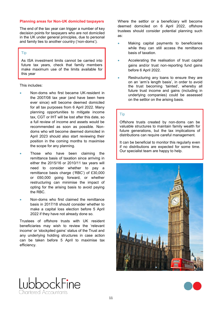### <span id="page-10-0"></span>**Planning areas for Non-UK domiciled taxpayers**

The end of the tax year can trigger a number of key decision points for taxpayers who are not domiciled in the UK under general principles, due to personal and family ties to another country ('non-doms').

### Tip

As ISA investment limits cannot be carried into future tax years, check that family members make maximum use of the limits available for this year

This includes:

- Non-doms who first became UK-resident in the 2007/08 tax year (and have been here ever since) will become deemed domiciled for all tax purposes from 6 April 2022. Many planning opportunities to mitigate income tax, CGT or IHT will be lost after this date, so a full review of income and assets would be recommended as soon as possible. Nondoms who will become deemed domiciled in April 2023 should also start reviewing their position in the coming months to maximise the scope for any planning.
- Those who have been claiming the remittance basis of taxation since arriving in either the 2015/16 or 2010/11 tax years will need to consider whether to pay a remittance basis charge ('RBC') of £30,000 or £60,000 going forward, or whether restructuring can minimise the impact of opting for the arising basis to avoid paying the RBC.
- Non-doms who first claimed the remittance basis in 2017/18 should consider whether to make a capital loss election before 5 April 2022 if they have not already done so.

Trustees of offshore trusts with UK resident beneficiaries may wish to review the 'relevant income' or 'stockpiled gains' status of the Trust and any underlying holding structures in case action can be taken before 5 April to maximise tax efficiency.

-ine

phockl

nartered Accountants

Where the settlor or a beneficiary will become deemed domiciled on 6 April 2022, offshore trustees should consider potential planning such as:

- Making capital payments to beneficiaries while they can still access the remittance basis of taxation.
- Accelerating the realisation of trust capital gains and/or trust non-reporting fund gains before 6 April 2022.
- Restructuring any loans to ensure they are on an 'arm's length basis', in order to avoid the trust becoming 'tainted', whereby all future trust income and gains (including in underlying companies) could be assessed on the settlor on the arising basis.

### Tip

Offshore trusts created by non-doms can be valuable structures to maintain family wealth for future generations, but the tax implications of distributions can require careful management.

It can be beneficial to monitor this regularly even if no distributions are expected for some time. Our specialist team are happy to help.



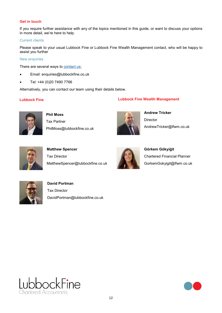### <span id="page-11-0"></span>**Get in touch**

If you require further assistance with any of the topics mentioned in this guide, or want to discuss your options in more detail, we're here to help.

### Current clients

Please speak to your usual Lubbock Fine or Lubbock Fine Wealth Management contact, who will be happy to assist you further

### New enquiries

There are several ways to **[contact us:](https://www.lubbockfine.co.uk/contact-us)** 

- Email: enquiries@lubbockfine.co.uk
- Tel: +44 (0)20 7490 7766

Alternatively, you can contact our team using their details below.

### **Lubbock Fine Lubbock Fine Wealth Management**



**Phil Moss** Tax Partner PhilMoss@lubbockfine.co.uk



**Andrew Tricker Director** AndrewTricker@lfwm.co.uk



**Matthew Spencer** Tax Director MatthewSpencer@lubbockfine.co.uk



**Görkem Gökyiğit** Chartered Financial Planner GorkemGokyigit@lfwm.co.uk



**David Portman** Tax Director DavidPortman@lubbockfine.co.uk